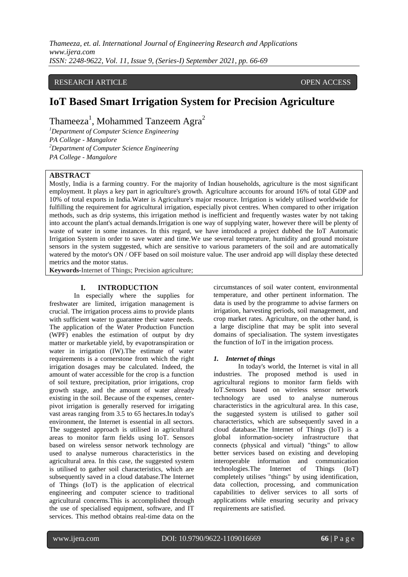*Thameeza, et. al. International Journal of Engineering Research and Applications www.ijera.com ISSN: 2248-9622, Vol. 11, Issue 9, (Series-I) September 2021, pp. 66-69*

# RESEARCH ARTICLE **OPEN ACCESS**

# **IoT Based Smart Irrigation System for Precision Agriculture**

Thameeza<sup>1</sup>, Mohammed Tanzeem Agra<sup>2</sup>

*<sup>1</sup>Department of Computer Science Engineering PA College - Mangalore <sup>2</sup>Department of Computer Science Engineering PA College - Mangalore*

#### **ABSTRACT**

Mostly, India is a farming country. For the majority of Indian households, agriculture is the most significant employment. It plays a key part in agriculture's growth. Agriculture accounts for around 16% of total GDP and 10% of total exports in India.Water is Agriculture's major resource. Irrigation is widely utilised worldwide for fulfilling the requirement for agricultural irrigation, especially pivot centres. When compared to other irrigation methods, such as drip systems, this irrigation method is inefficient and frequently wastes water by not taking into account the plant's actual demands.Irrigation is one way of supplying water, however there will be plenty of waste of water in some instances. In this regard, we have introduced a project dubbed the IoT Automatic Irrigation System in order to save water and time.We use several temperature, humidity and ground moisture sensors in the system suggested, which are sensitive to various parameters of the soil and are automatically watered by the motor's ON / OFF based on soil moisture value. The user android app will display these detected metrics and the motor status.

**Keywords-**Internet of Things; Precision agriculture;

#### **I. INTRODUCTION**

In especially where the supplies for freshwater are limited, irrigation management is crucial. The irrigation process aims to provide plants with sufficient water to guarantee their water needs. The application of the Water Production Function (WPF) enables the estimation of output by dry matter or marketable yield, by evapotranspiration or water in irrigation (IW).The estimate of water requirements is a cornerstone from which the right irrigation dosages may be calculated. Indeed, the amount of water accessible for the crop is a function of soil texture, precipitation, prior irrigations, crop growth stage, and the amount of water already existing in the soil. Because of the expenses, centerpivot irrigation is generally reserved for irrigating vast areas ranging from 3.5 to 65 hectares.In today's environment, the Internet is essential in all sectors. The suggested approach is utilised in agricultural areas to monitor farm fields using IoT. Sensors based on wireless sensor network technology are used to analyse numerous characteristics in the agricultural area. In this case, the suggested system is utilised to gather soil characteristics, which are subsequently saved in a cloud database.The Internet of Things (IoT) is the application of electrical engineering and computer science to traditional agricultural concerns.This is accomplished through the use of specialised equipment, software, and IT services. This method obtains real-time data on the circumstances of soil water content, environmental temperature, and other pertinent information. The data is used by the programme to advise farmers on irrigation, harvesting periods, soil management, and crop market rates. Agriculture, on the other hand, is a large discipline that may be split into several domains of specialisation. The system investigates the function of IoT in the irrigation process.

#### *1. Internet of things*

In today's world, the Internet is vital in all industries. The proposed method is used in agricultural regions to monitor farm fields with IoT.Sensors based on wireless sensor network technology are used to analyse numerous characteristics in the agricultural area. In this case, the suggested system is utilised to gather soil characteristics, which are subsequently saved in a cloud database.The Internet of Things (IoT) is a global information-society infrastructure that connects (physical and virtual) "things" to allow better services based on existing and developing interoperable information and communication technologies.The Internet of Things (IoT) completely utilises "things" by using identification, data collection, processing, and communication capabilities to deliver services to all sorts of applications while ensuring security and privacy requirements are satisfied.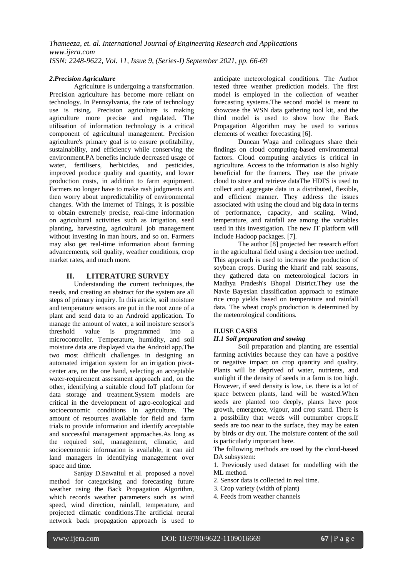## *2.Precision Agriculture*

Agriculture is undergoing a transformation. Precision agriculture has become more reliant on technology. In Pennsylvania, the rate of technology use is rising. Precision agriculture is making agriculture more precise and regulated. The utilisation of information technology is a critical component of agricultural management. Precision agriculture's primary goal is to ensure profitability, sustainability, and efficiency while conserving the environment.PA benefits include decreased usage of water, fertilisers, herbicides, and pesticides, improved produce quality and quantity, and lower production costs, in addition to farm equipment. Farmers no longer have to make rash judgments and then worry about unpredictability of environmental changes. With the Internet of Things, it is possible to obtain extremely precise, real-time information on agricultural activities such as irrigation, seed planting, harvesting, agricultural job management without investing in man hours, and so on. Farmers may also get real-time information about farming advancements, soil quality, weather conditions, crop market rates, and much more.

# **II. LITERATURE SURVEY**

Understanding the current techniques, the needs, and creating an abstract for the system are all steps of primary inquiry. In this article, soil moisture and temperature sensors are put in the root zone of a plant and send data to an Android application. To manage the amount of water, a soil moisture sensor's<br>threshold value is programmed into a threshold value is programmed into a microcontroller. Temperature, humidity, and soil moisture data are displayed via the Android app.The two most difficult challenges in designing an automated irrigation system for an irrigation pivotcenter are, on the one hand, selecting an acceptable water-requirement assessment approach and, on the other, identifying a suitable cloud IoT platform for data storage and treatment.System models are critical in the development of agro-ecological and socioeconomic conditions in agriculture. The amount of resources available for field and farm trials to provide information and identify acceptable and successful management approaches.As long as the required soil, management, climatic, and socioeconomic information is available, it can aid land managers in identifying management over space and time.

Sanjay D.Sawaitul et al. proposed a novel method for categorising and forecasting future weather using the Back Propagation Algorithm, which records weather parameters such as wind speed, wind direction, rainfall, temperature, and projected climatic conditions.The artificial neural network back propagation approach is used to anticipate meteorological conditions. The Author tested three weather prediction models. The first model is employed in the collection of weather forecasting systems.The second model is meant to showcase the WSN data gathering tool kit, and the third model is used to show how the Back Propagation Algorithm may be used to various elements of weather forecasting [6].

Duncan Waga and colleagues share their findings on cloud computing-based environmental factors. Cloud computing analytics is critical in agriculture. Access to the information is also highly beneficial for the framers. They use the private cloud to store and retrieve dataThe HDFS is used to collect and aggregate data in a distributed, flexible, and efficient manner. They address the issues associated with using the cloud and big data in terms of performance, capacity, and scaling. Wind, temperature, and rainfall are among the variables used in this investigation. The new IT platform will include Hadoop packages. [7].

The author [8] projected her research effort in the agricultural field using a decision tree method. This approach is used to increase the production of soybean crops. During the kharif and rabi seasons, they gathered data on meteorological factors in Madhya Pradesh's Bhopal District.They use the Navie Bayesian classification approach to estimate rice crop yields based on temperature and rainfall data. The wheat crop's production is determined by the meteorological conditions.

## **II.USE CASES**

## *II.1 Soil preparation and sowing*

Soil preparation and planting are essential farming activities because they can have a positive or negative impact on crop quantity and quality. Plants will be deprived of water, nutrients, and sunlight if the density of seeds in a farm is too high. However, if seed density is low, i.e. there is a lot of space between plants, land will be wasted.When seeds are planted too deeply, plants have poor growth, emergence, vigour, and crop stand. There is a possibility that weeds will outnumber crops.If seeds are too near to the surface, they may be eaten by birds or dry out. The moisture content of the soil is particularly important here.

The following methods are used by the cloud-based DA subsystem:

1. Previously used dataset for modelling with the ML method.

- 2. Sensor data is collected in real time.
- 3. Crop variety (width of plant)
- 4. Feeds from weather channels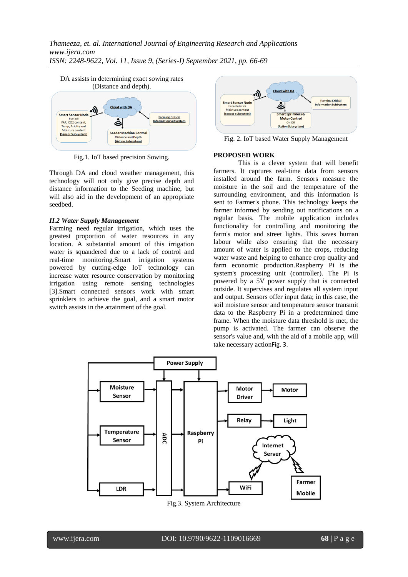# *Thameeza, et. al. International Journal of Engineering Research and Applications www.ijera.com ISSN: 2248-9622, Vol. 11, Issue 9, (Series-I) September 2021, pp. 66-69*



Fig.1. IoT based precision Sowing.

Through DA and cloud weather management, this technology will not only give precise depth and distance information to the Seeding machine, but will also aid in the development of an appropriate seedbed.

#### *II.2 Water Supply Management*

Farming need regular irrigation, which uses the greatest proportion of water resources in any location. A substantial amount of this irrigation water is squandered due to a lack of control and real-time monitoring.Smart irrigation systems powered by cutting-edge IoT technology can increase water resource conservation by monitoring irrigation using remote sensing technologies [3].Smart connected sensors work with smart sprinklers to achieve the goal, and a smart motor switch assists in the attainment of the goal.



Fig. 2. IoT based Water Supply Management

#### **PROPOSED WORK**

This is a clever system that will benefit farmers. It captures real-time data from sensors installed around the farm. Sensors measure the moisture in the soil and the temperature of the surrounding environment, and this information is sent to Farmer's phone. This technology keeps the farmer informed by sending out notifications on a regular basis. The mobile application includes functionality for controlling and monitoring the farm's motor and street lights. This saves human labour while also ensuring that the necessary amount of water is applied to the crops, reducing water waste and helping to enhance crop quality and farm economic production.Raspberry Pi is the system's processing unit (controller). The Pi is powered by a 5V power supply that is connected outside. It supervises and regulates all system input and output. Sensors offer input data; in this case, the soil moisture sensor and temperature sensor transmit data to the Raspberry Pi in a predetermined time frame. When the moisture data threshold is met, the pump is activated. The farmer can observe the sensor's value and, with the aid of a mobile app, will take necessary actionFig. 3.